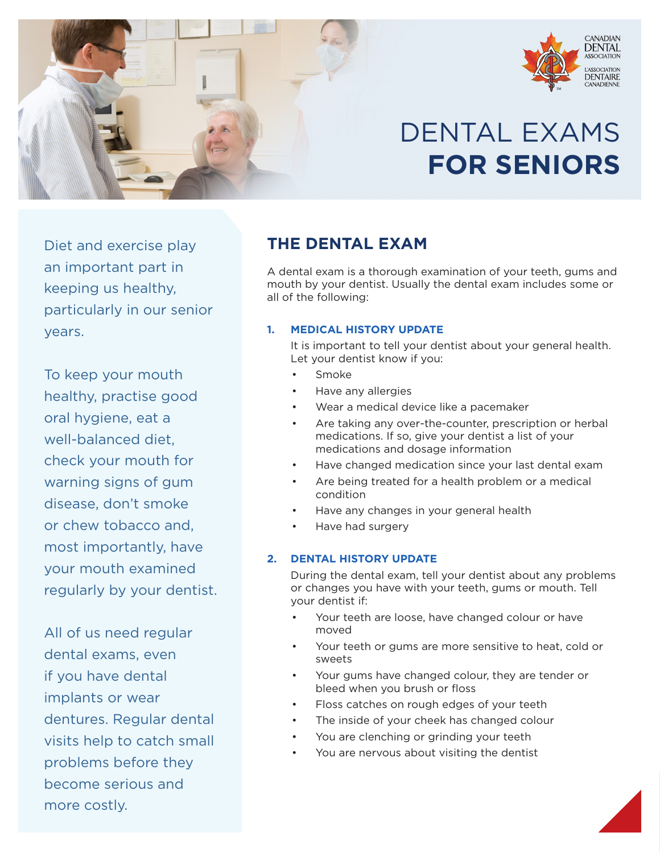

# DENTAL EXAMS **FOR SENIORS**

CANADIAN<br>**DENTAL** 

ASSOCIATION DENTAIRE

Diet and exercise play an important part in keeping us healthy, particularly in our senior years.

To keep your mouth healthy, practise good oral hygiene, eat a well-balanced diet, check your mouth for warning signs of gum disease, don't smoke or chew tobacco and, most importantly, have your mouth examined regularly by your dentist.

All of us need regular dental exams, even if you have dental implants or wear dentures. Regular dental visits help to catch small problems before they become serious and more costly.

# **THE DENTAL EXAM**

A dental exam is a thorough examination of your teeth, gums and mouth by your dentist. Usually the dental exam includes some or all of the following:

### **1. MEDICAL HISTORY UPDATE**

It is important to tell your dentist about your general health. Let your dentist know if you:

- Smoke
- Have any allergies
- Wear a medical device like a pacemaker
- Are taking any over-the-counter, prescription or herbal medications. If so, give your dentist a list of your medications and dosage information
- Have changed medication since your last dental exam
- Are being treated for a health problem or a medical condition
- Have any changes in your general health
- Have had surgery

#### **2. DENTAL HISTORY UPDATE**

During the dental exam, tell your dentist about any problems or changes you have with your teeth, gums or mouth. Tell your dentist if:

- Your teeth are loose, have changed colour or have moved
- Your teeth or gums are more sensitive to heat, cold or sweets
- Your gums have changed colour, they are tender or bleed when you brush or floss
- Floss catches on rough edges of your teeth
- The inside of your cheek has changed colour
- You are clenching or grinding your teeth
- You are nervous about visiting the dentist